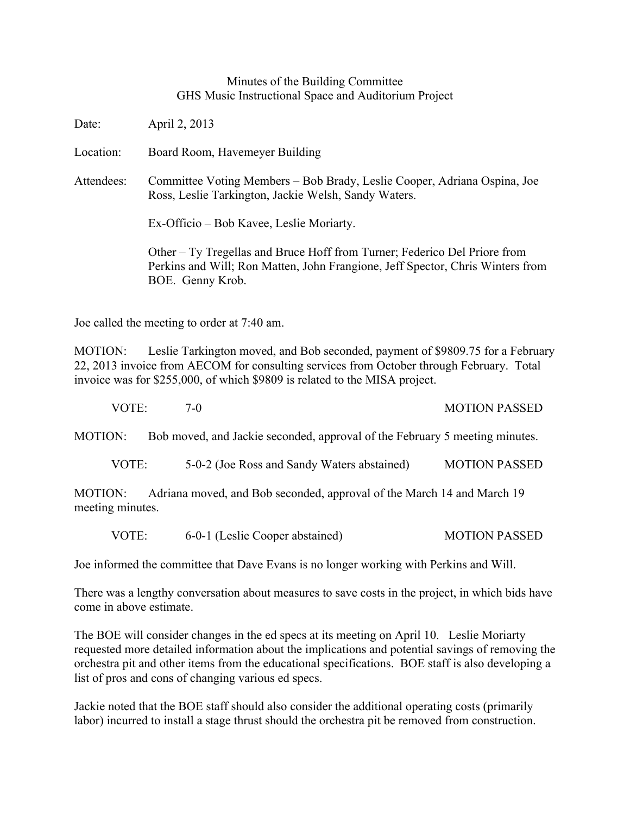## Minutes of the Building Committee GHS Music Instructional Space and Auditorium Project

Date: April 2, 2013

Location: Board Room, Havemeyer Building

Attendees: Committee Voting Members – Bob Brady, Leslie Cooper, Adriana Ospina, Joe Ross, Leslie Tarkington, Jackie Welsh, Sandy Waters.

Ex-Officio – Bob Kavee, Leslie Moriarty.

Other – Ty Tregellas and Bruce Hoff from Turner; Federico Del Priore from Perkins and Will; Ron Matten, John Frangione, Jeff Spector, Chris Winters from BOE. Genny Krob.

Joe called the meeting to order at 7:40 am.

MOTION: Leslie Tarkington moved, and Bob seconded, payment of \$9809.75 for a February 22, 2013 invoice from AECOM for consulting services from October through February. Total invoice was for \$255,000, of which \$9809 is related to the MISA project.

| VOTE: | <b>MOTION PASSED</b> |  |
|-------|----------------------|--|
|       |                      |  |

MOTION: Bob moved, and Jackie seconded, approval of the February 5 meeting minutes.

VOTE: 5-0-2 (Joe Ross and Sandy Waters abstained) MOTION PASSED

MOTION: Adriana moved, and Bob seconded, approval of the March 14 and March 19 meeting minutes.

VOTE: 6-0-1 (Leslie Cooper abstained) MOTION PASSED

Joe informed the committee that Dave Evans is no longer working with Perkins and Will.

There was a lengthy conversation about measures to save costs in the project, in which bids have come in above estimate.

The BOE will consider changes in the ed specs at its meeting on April 10. Leslie Moriarty requested more detailed information about the implications and potential savings of removing the orchestra pit and other items from the educational specifications. BOE staff is also developing a list of pros and cons of changing various ed specs.

Jackie noted that the BOE staff should also consider the additional operating costs (primarily labor) incurred to install a stage thrust should the orchestra pit be removed from construction.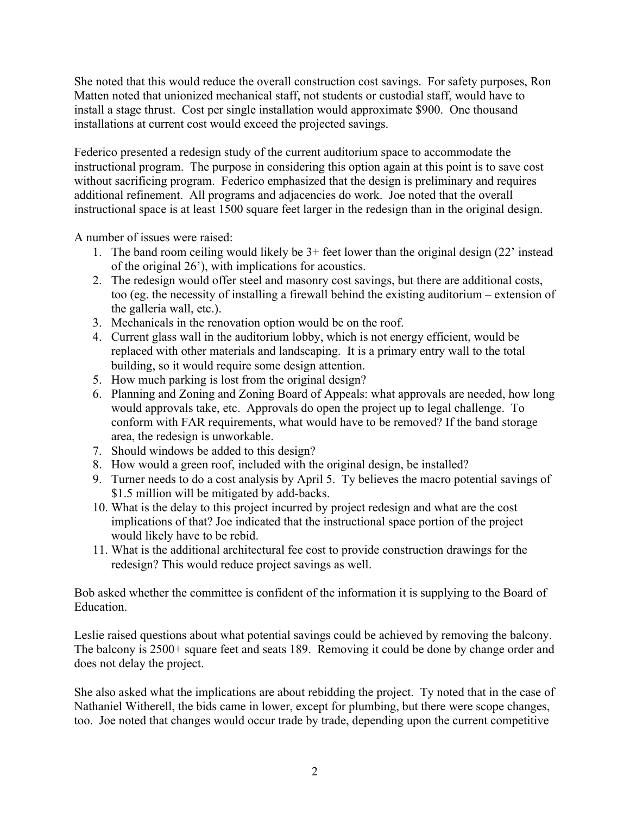She noted that this would reduce the overall construction cost savings. For safety purposes, Ron Matten noted that unionized mechanical staff, not students or custodial staff, would have to install a stage thrust. Cost per single installation would approximate \$900. One thousand installations at current cost would exceed the projected savings.

Federico presented a redesign study of the current auditorium space to accommodate the instructional program. The purpose in considering this option again at this point is to save cost without sacrificing program. Federico emphasized that the design is preliminary and requires additional refinement. All programs and adjacencies do work. Joe noted that the overall instructional space is at least 1500 square feet larger in the redesign than in the original design.

A number of issues were raised:

- 1. The band room ceiling would likely be 3+ feet lower than the original design (22' instead of the original 26'), with implications for acoustics.
- 2. The redesign would offer steel and masonry cost savings, but there are additional costs, too (eg. the necessity of installing a firewall behind the existing auditorium – extension of the galleria wall, etc.).
- 3. Mechanicals in the renovation option would be on the roof.
- 4. Current glass wall in the auditorium lobby, which is not energy efficient, would be replaced with other materials and landscaping. It is a primary entry wall to the total building, so it would require some design attention.
- 5. How much parking is lost from the original design?
- 6. Planning and Zoning and Zoning Board of Appeals: what approvals are needed, how long would approvals take, etc. Approvals do open the project up to legal challenge. To conform with FAR requirements, what would have to be removed? If the band storage area, the redesign is unworkable.
- 7. Should windows be added to this design?
- 8. How would a green roof, included with the original design, be installed?
- 9. Turner needs to do a cost analysis by April 5. Ty believes the macro potential savings of \$1.5 million will be mitigated by add-backs.
- 10. What is the delay to this project incurred by project redesign and what are the cost implications of that? Joe indicated that the instructional space portion of the project would likely have to be rebid.
- 11. What is the additional architectural fee cost to provide construction drawings for the redesign? This would reduce project savings as well.

Bob asked whether the committee is confident of the information it is supplying to the Board of Education.

Leslie raised questions about what potential savings could be achieved by removing the balcony. The balcony is 2500+ square feet and seats 189. Removing it could be done by change order and does not delay the project.

She also asked what the implications are about rebidding the project. Ty noted that in the case of Nathaniel Witherell, the bids came in lower, except for plumbing, but there were scope changes, too. Joe noted that changes would occur trade by trade, depending upon the current competitive